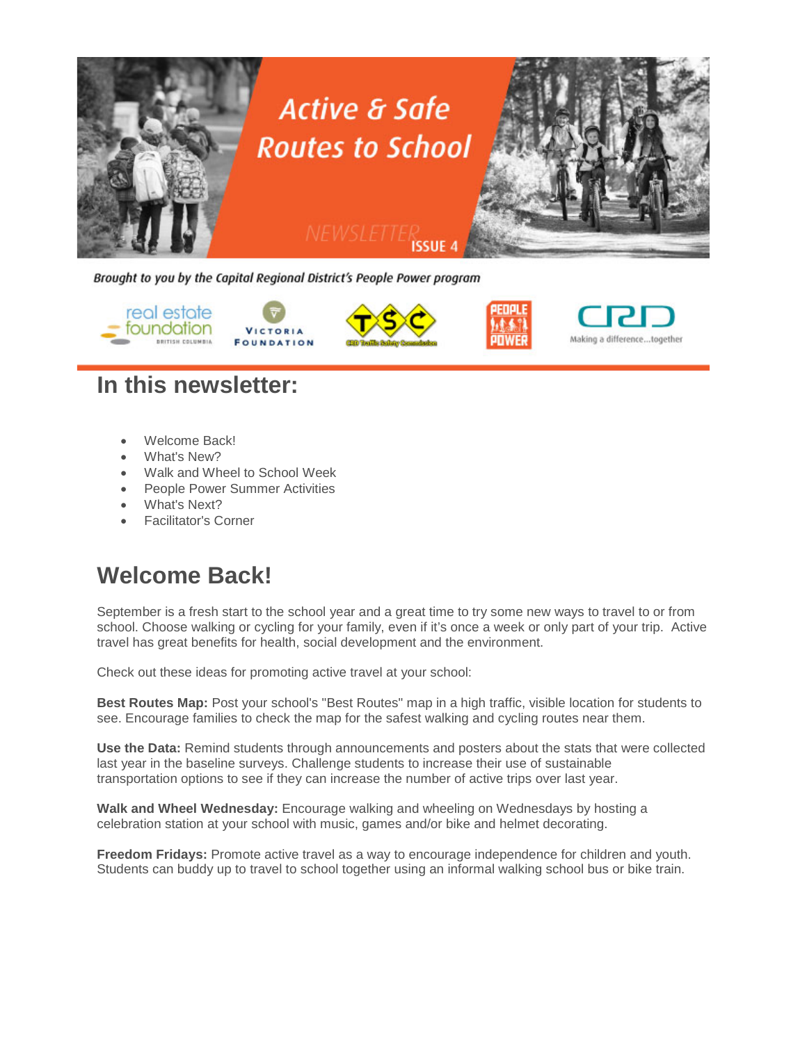

Brought to you by the Capital Regional District's People Power program









### **In this newsletter:**

- Welcome Back!
- What's New?
- Walk and Wheel to School Week
- People Power Summer Activities
- What's Next?
- Facilitator's Corner

# **Welcome Back!**

September is a fresh start to the school year and a great time to try some new ways to travel to or from school. Choose walking or cycling for your family, even if it's once a week or only part of your trip. Active travel has great benefits for health, social development and the environment.

Check out these ideas for promoting active travel at your school:

**Best Routes Map:** Post your school's "Best Routes" map in a high traffic, visible location for students to see. Encourage families to check the map for the safest walking and cycling routes near them.

**Use the Data:** Remind students through announcements and posters about the stats that were collected last year in the baseline surveys. Challenge students to increase their use of sustainable transportation options to see if they can increase the number of active trips over last year.

**Walk and Wheel Wednesday:** Encourage walking and wheeling on Wednesdays by hosting a celebration station at your school with music, games and/or bike and helmet decorating.

**Freedom Fridays:** Promote active travel as a way to encourage independence for children and youth. Students can buddy up to travel to school together using an informal walking school bus or bike train.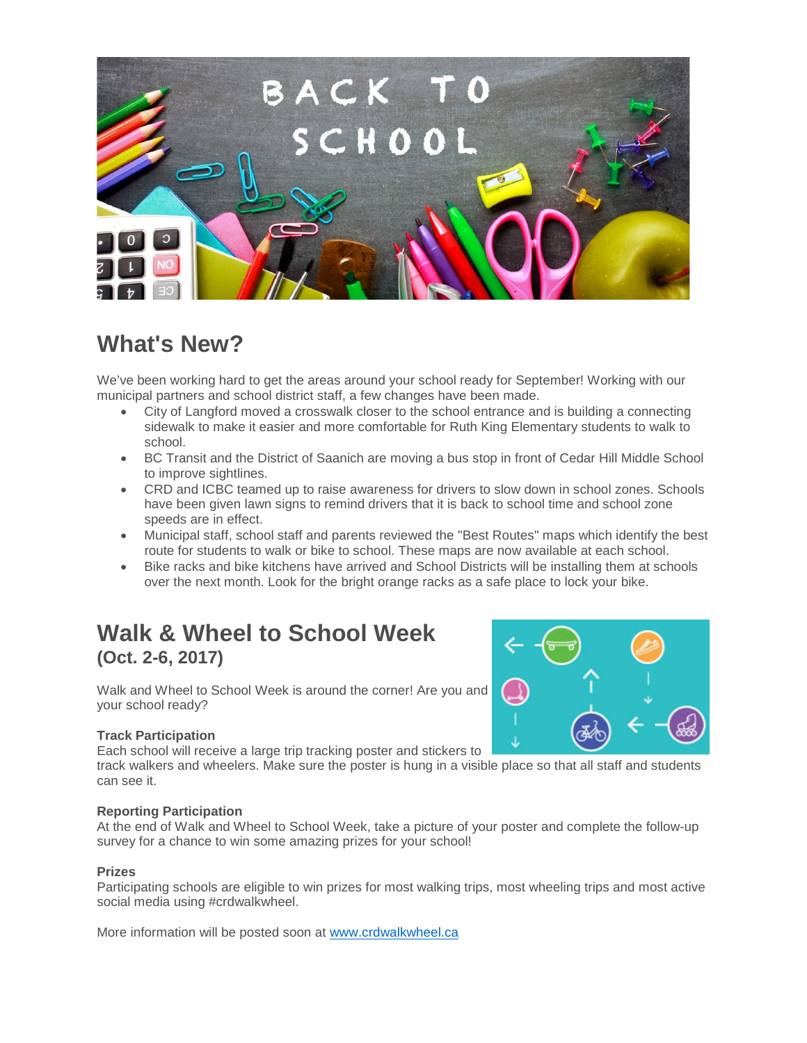

# **What's New?**

We've been working hard to get the areas around your school ready for September! Working with our municipal partners and school district staff, a few changes have been made.

- City of Langford moved a crosswalk closer to the school entrance and is building a connecting sidewalk to make it easier and more comfortable for Ruth King Elementary students to walk to school.
- BC Transit and the District of Saanich are moving a bus stop in front of Cedar Hill Middle School to improve sightlines.
- CRD and ICBC teamed up to raise awareness for drivers to slow down in school zones. Schools have been given lawn signs to remind drivers that it is back to school time and school zone speeds are in effect.
- Municipal staff, school staff and parents reviewed the "Best Routes" maps which identify the best route for students to walk or bike to school. These maps are now available at each school.
- Bike racks and bike kitchens have arrived and School Districts will be installing them at schools over the next month. Look for the bright orange racks as a safe place to lock your bike.

### **Walk & Wheel to School Week (Oct. 2-6, 2017)**

Walk and Wheel to School Week is around the corner! Are you and your school ready?

#### **Track Participation**

Each school will receive a large trip tracking poster and stickers to

track walkers and wheelers. Make sure the poster is hung in a visible place so that all staff and students can see it.

#### **Reporting Participation**

At the end of Walk and Wheel to School Week, take a picture of your poster and complete the follow-up survey for a chance to win some amazing prizes for your school!

#### **Prizes**

Participating schools are eligible to win prizes for most walking trips, most wheeling trips and most active social media using #crdwalkwheel.

More information will be posted soon at [www.crdwalkwheel.ca](http://click.mailsender05.com/ct/2579/1684242/701054508/c5fbe45549768fa283c836ea8bcdef56)

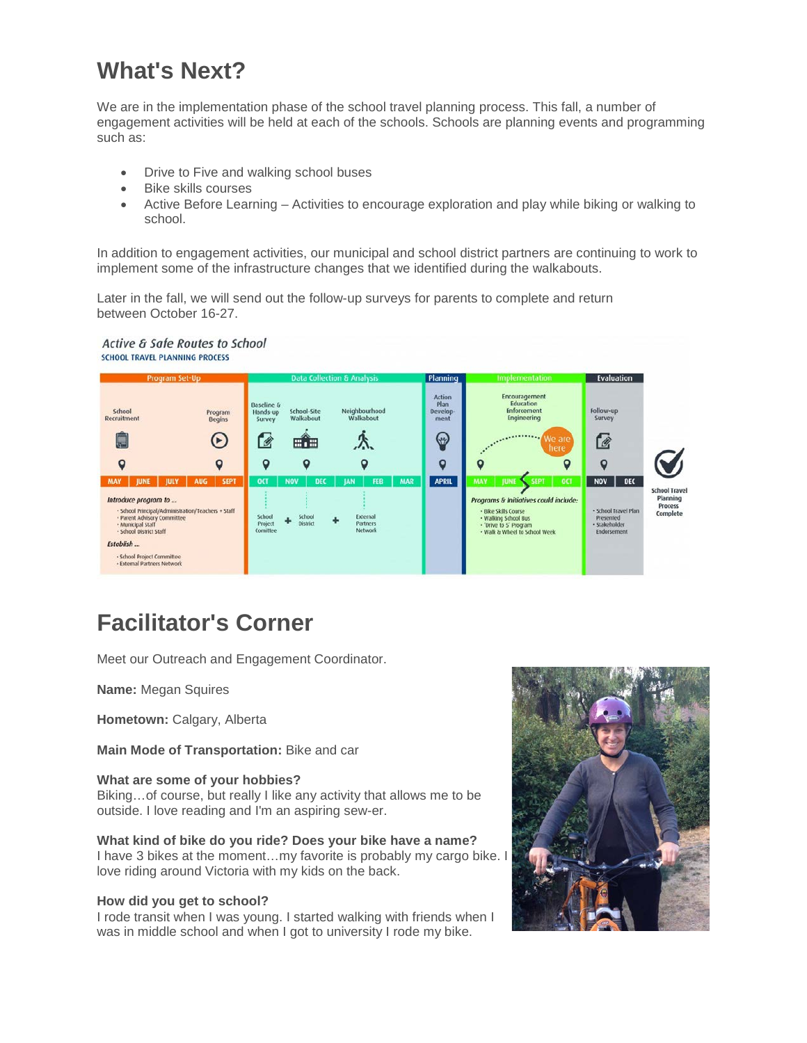# **What's Next?**

We are in the implementation phase of the school travel planning process. This fall, a number of engagement activities will be held at each of the schools. Schools are planning events and programming such as:

- Drive to Five and walking school buses
- Bike skills courses
- Active Before Learning Activities to encourage exploration and play while biking or walking to school.

In addition to engagement activities, our municipal and school district partners are continuing to work to implement some of the infrastructure changes that we identified during the walkabouts.

Later in the fall, we will send out the follow-up surveys for parents to complete and return between October 16-27.

#### Active & Safe Routes to School **SCHOOL TRAVEL PLANNING PROCESS**



# **Facilitator's Corner**

Meet our Outreach and Engagement Coordinator.

**Name:** Megan Squires

**Hometown:** Calgary, Alberta

**Main Mode of Transportation:** Bike and car

#### **What are some of your hobbies?**

Biking…of course, but really I like any activity that allows me to be outside. I love reading and I'm an aspiring sew-er.

**What kind of bike do you ride? Does your bike have a name?** I have 3 bikes at the moment…my favorite is probably my cargo bike. I love riding around Victoria with my kids on the back.

#### **How did you get to school?**

I rode transit when I was young. I started walking with friends when I was in middle school and when I got to university I rode my bike.